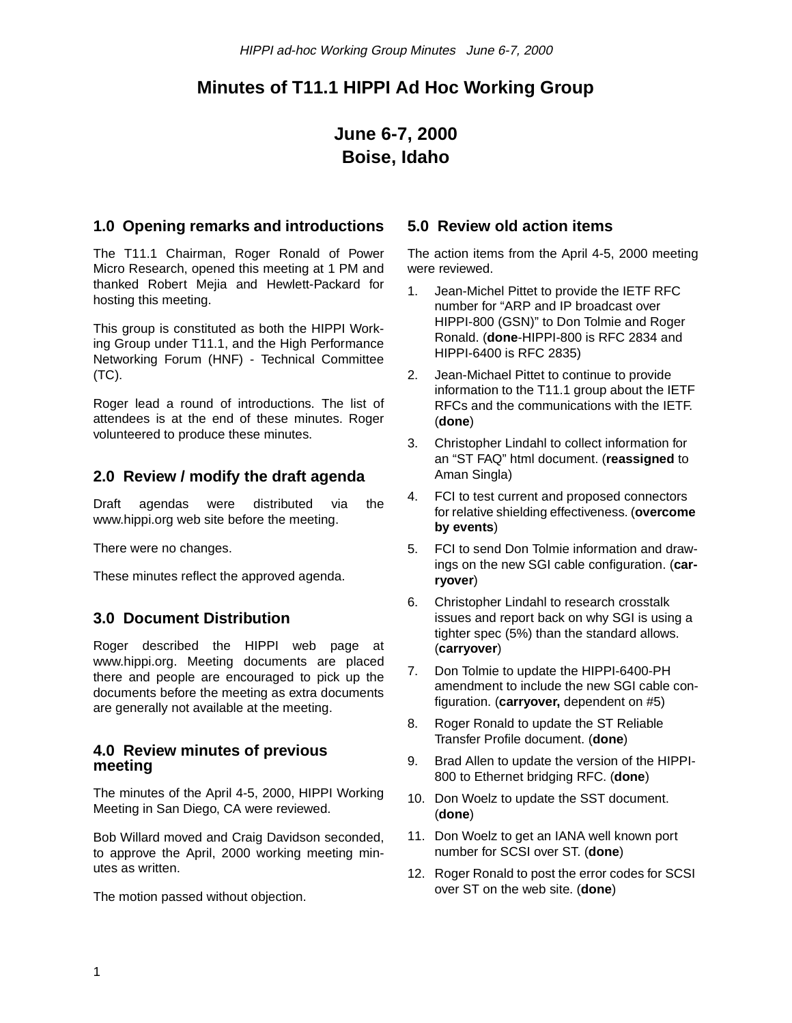# **Minutes of T11.1 HIPPI Ad Hoc Working Group**

# **June 6-7, 2000 Boise, Idaho**

## **1.0 Opening remarks and introductions**

The T11.1 Chairman, Roger Ronald of Power Micro Research, opened this meeting at 1 PM and thanked Robert Mejia and Hewlett-Packard for hosting this meeting.

This group is constituted as both the HIPPI Working Group under T11.1, and the High Performance Networking Forum (HNF) - Technical Committee (TC).

Roger lead a round of introductions. The list of attendees is at the end of these minutes. Roger volunteered to produce these minutes.

# **2.0 Review / modify the draft agenda**

Draft agendas were distributed via the www.hippi.org web site before the meeting.

There were no changes.

These minutes reflect the approved agenda.

# **3.0 Document Distribution**

Roger described the HIPPI web page at www.hippi.org. Meeting documents are placed there and people are encouraged to pick up the documents before the meeting as extra documents are generally not available at the meeting.

#### **4.0 Review minutes of previous meeting**

The minutes of the April 4-5, 2000, HIPPI Working Meeting in San Diego, CA were reviewed.

Bob Willard moved and Craig Davidson seconded, to approve the April, 2000 working meeting minutes as written.

The motion passed without objection.

### **5.0 Review old action items**

The action items from the April 4-5, 2000 meeting were reviewed.

- 1. Jean-Michel Pittet to provide the IETF RFC number for "ARP and IP broadcast over HIPPI-800 (GSN)" to Don Tolmie and Roger Ronald. (**done**-HIPPI-800 is RFC 2834 and HIPPI-6400 is RFC 2835)
- 2. Jean-Michael Pittet to continue to provide information to the T11.1 group about the IETF RFCs and the communications with the IETF. (**done**)
- 3. Christopher Lindahl to collect information for an "ST FAQ" html document. (**reassigned** to Aman Singla)
- 4. FCI to test current and proposed connectors for relative shielding effectiveness. (**overcome by events**)
- 5. FCI to send Don Tolmie information and drawings on the new SGI cable configuration. (**carryover**)
- 6. Christopher Lindahl to research crosstalk issues and report back on why SGI is using a tighter spec (5%) than the standard allows. (**carryover**)
- 7. Don Tolmie to update the HIPPI-6400-PH amendment to include the new SGI cable configuration. (**carryover,** dependent on #5)
- 8. Roger Ronald to update the ST Reliable Transfer Profile document. (**done**)
- 9. Brad Allen to update the version of the HIPPI-800 to Ethernet bridging RFC. (**done**)
- 10. Don Woelz to update the SST document. (**done**)
- 11. Don Woelz to get an IANA well known port number for SCSI over ST. (**done**)
- 12. Roger Ronald to post the error codes for SCSI over ST on the web site. (**done**)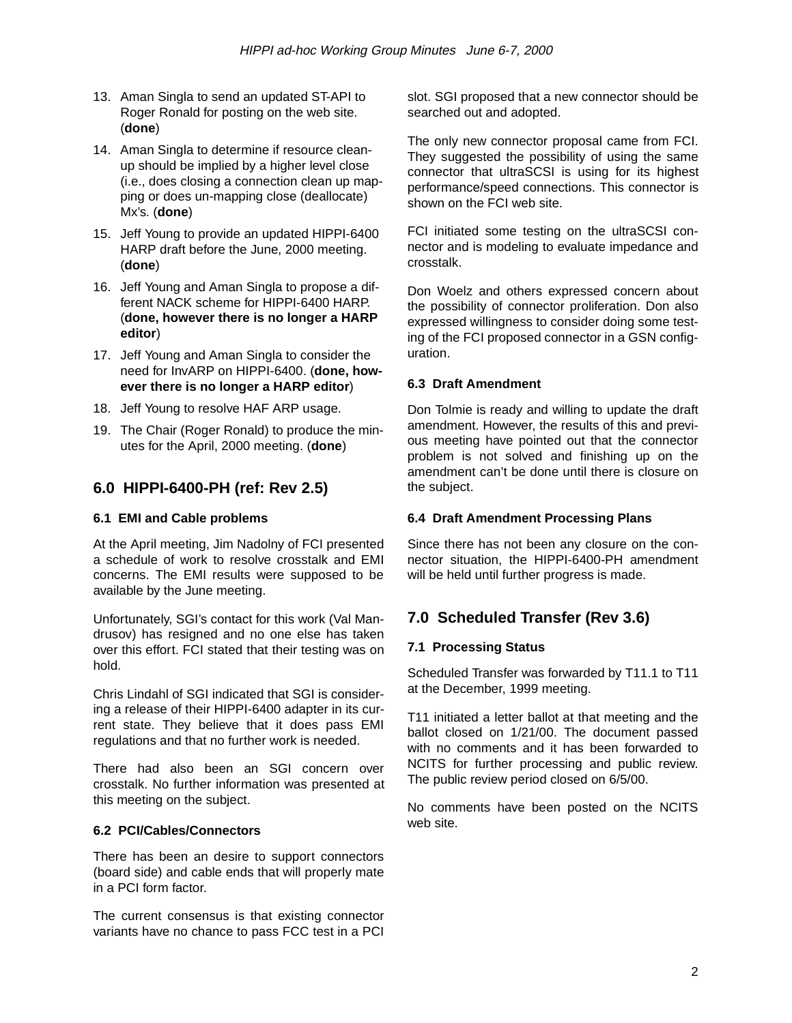- 13. Aman Singla to send an updated ST-API to Roger Ronald for posting on the web site. (**done**)
- 14. Aman Singla to determine if resource cleanup should be implied by a higher level close (i.e., does closing a connection clean up mapping or does un-mapping close (deallocate) Mx's. (**done**)
- 15. Jeff Young to provide an updated HIPPI-6400 HARP draft before the June, 2000 meeting. (**done**)
- 16. Jeff Young and Aman Singla to propose a different NACK scheme for HIPPI-6400 HARP. (**done, however there is no longer a HARP editor**)
- 17. Jeff Young and Aman Singla to consider the need for InvARP on HIPPI-6400. (**done, however there is no longer a HARP editor**)
- 18. Jeff Young to resolve HAF ARP usage.
- 19. The Chair (Roger Ronald) to produce the minutes for the April, 2000 meeting. (**done**)

# **6.0 HIPPI-6400-PH (ref: Rev 2.5)**

#### **6.1 EMI and Cable problems**

At the April meeting, Jim Nadolny of FCI presented a schedule of work to resolve crosstalk and EMI concerns. The EMI results were supposed to be available by the June meeting.

Unfortunately, SGI's contact for this work (Val Mandrusov) has resigned and no one else has taken over this effort. FCI stated that their testing was on hold.

Chris Lindahl of SGI indicated that SGI is considering a release of their HIPPI-6400 adapter in its current state. They believe that it does pass EMI regulations and that no further work is needed.

There had also been an SGI concern over crosstalk. No further information was presented at this meeting on the subject.

#### **6.2 PCI/Cables/Connectors**

There has been an desire to support connectors (board side) and cable ends that will properly mate in a PCI form factor.

The current consensus is that existing connector variants have no chance to pass FCC test in a PCI slot. SGI proposed that a new connector should be searched out and adopted.

The only new connector proposal came from FCI. They suggested the possibility of using the same connector that ultraSCSI is using for its highest performance/speed connections. This connector is shown on the FCI web site.

FCI initiated some testing on the ultraSCSI connector and is modeling to evaluate impedance and crosstalk.

Don Woelz and others expressed concern about the possibility of connector proliferation. Don also expressed willingness to consider doing some testing of the FCI proposed connector in a GSN configuration.

#### **6.3 Draft Amendment**

Don Tolmie is ready and willing to update the draft amendment. However, the results of this and previous meeting have pointed out that the connector problem is not solved and finishing up on the amendment can't be done until there is closure on the subject.

#### **6.4 Draft Amendment Processing Plans**

Since there has not been any closure on the connector situation, the HIPPI-6400-PH amendment will be held until further progress is made.

# **7.0 Scheduled Transfer (Rev 3.6)**

#### **7.1 Processing Status**

Scheduled Transfer was forwarded by T11.1 to T11 at the December, 1999 meeting.

T11 initiated a letter ballot at that meeting and the ballot closed on 1/21/00. The document passed with no comments and it has been forwarded to NCITS for further processing and public review. The public review period closed on 6/5/00.

No comments have been posted on the NCITS web site.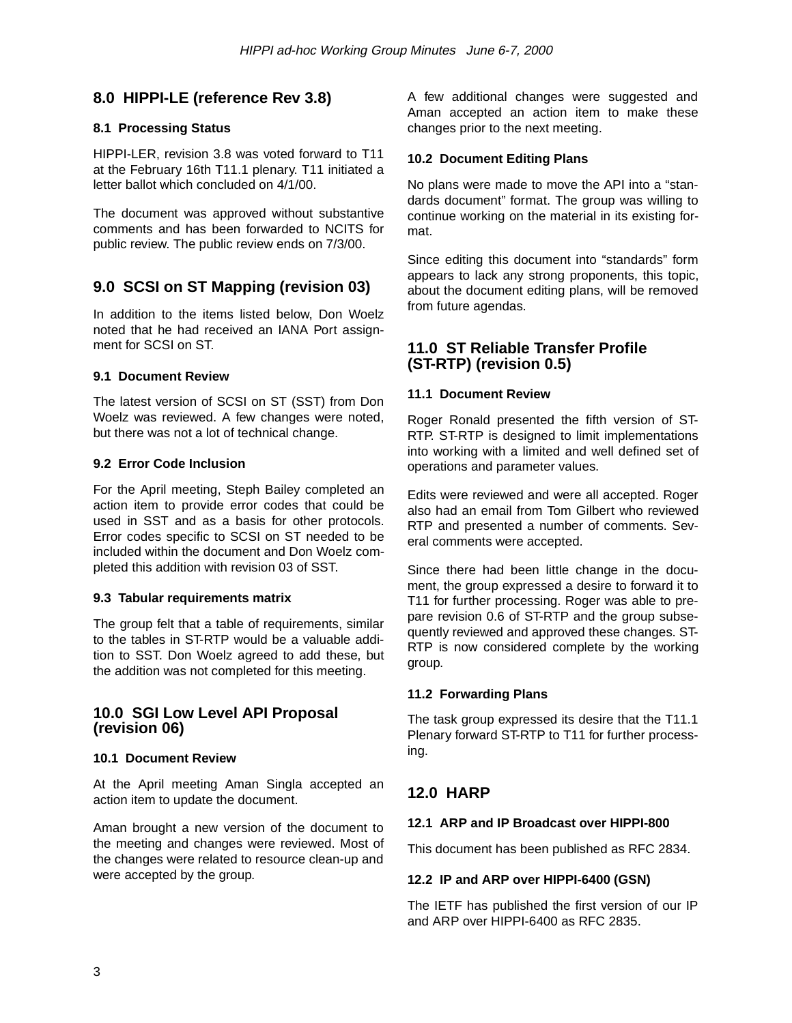# **8.0 HIPPI-LE (reference Rev 3.8)**

#### **8.1 Processing Status**

HIPPI-LER, revision 3.8 was voted forward to T11 at the February 16th T11.1 plenary. T11 initiated a letter ballot which concluded on 4/1/00.

The document was approved without substantive comments and has been forwarded to NCITS for public review. The public review ends on 7/3/00.

# **9.0 SCSI on ST Mapping (revision 03)**

In addition to the items listed below, Don Woelz noted that he had received an IANA Port assignment for SCSI on ST.

#### **9.1 Document Review**

The latest version of SCSI on ST (SST) from Don Woelz was reviewed. A few changes were noted, but there was not a lot of technical change.

#### **9.2 Error Code Inclusion**

For the April meeting, Steph Bailey completed an action item to provide error codes that could be used in SST and as a basis for other protocols. Error codes specific to SCSI on ST needed to be included within the document and Don Woelz completed this addition with revision 03 of SST.

#### **9.3 Tabular requirements matrix**

The group felt that a table of requirements, similar to the tables in ST-RTP would be a valuable addition to SST. Don Woelz agreed to add these, but the addition was not completed for this meeting.

#### **10.0 SGI Low Level API Proposal (revision 06)**

#### **10.1 Document Review**

At the April meeting Aman Singla accepted an action item to update the document.

Aman brought a new version of the document to the meeting and changes were reviewed. Most of the changes were related to resource clean-up and were accepted by the group.

A few additional changes were suggested and Aman accepted an action item to make these changes prior to the next meeting.

#### **10.2 Document Editing Plans**

No plans were made to move the API into a "standards document" format. The group was willing to continue working on the material in its existing format.

Since editing this document into "standards" form appears to lack any strong proponents, this topic, about the document editing plans, will be removed from future agendas.

### **11.0 ST Reliable Transfer Profile (ST-RTP) (revision 0.5)**

#### **11.1 Document Review**

Roger Ronald presented the fifth version of ST-RTP. ST-RTP is designed to limit implementations into working with a limited and well defined set of operations and parameter values.

Edits were reviewed and were all accepted. Roger also had an email from Tom Gilbert who reviewed RTP and presented a number of comments. Several comments were accepted.

Since there had been little change in the document, the group expressed a desire to forward it to T11 for further processing. Roger was able to prepare revision 0.6 of ST-RTP and the group subsequently reviewed and approved these changes. ST-RTP is now considered complete by the working group.

#### **11.2 Forwarding Plans**

The task group expressed its desire that the T11.1 Plenary forward ST-RTP to T11 for further processing.

# **12.0 HARP**

### **12.1 ARP and IP Broadcast over HIPPI-800**

This document has been published as RFC 2834.

### **12.2 IP and ARP over HIPPI-6400 (GSN)**

The IETF has published the first version of our IP and ARP over HIPPI-6400 as RFC 2835.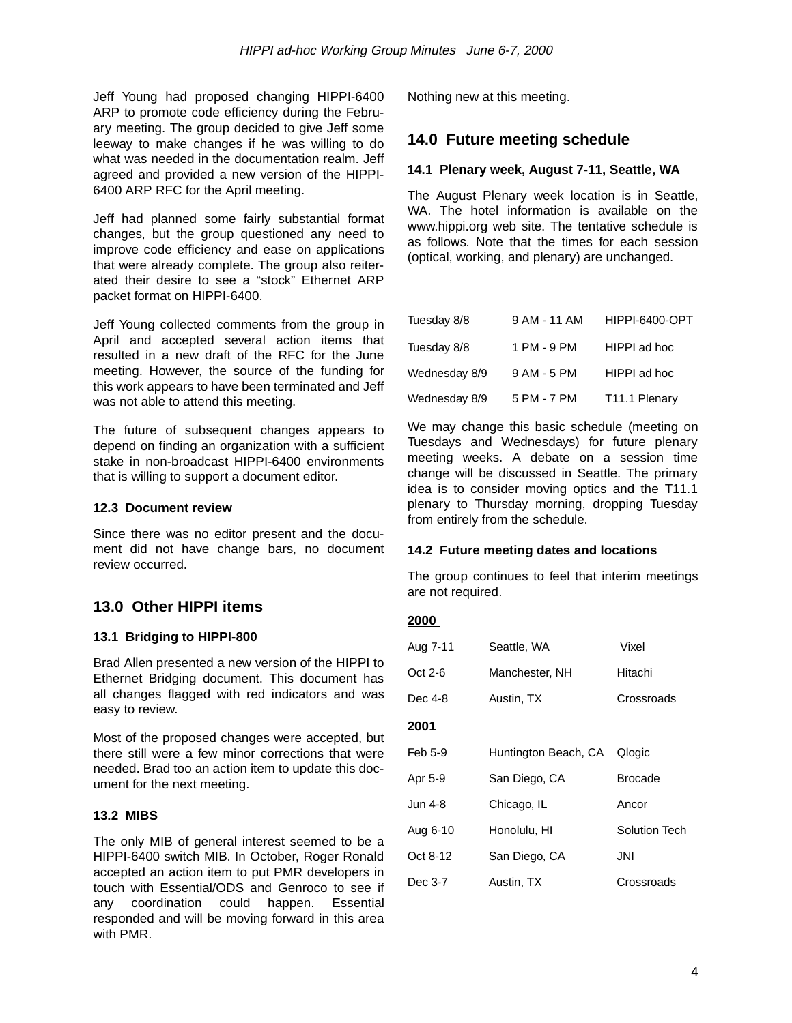Jeff Young had proposed changing HIPPI-6400 ARP to promote code efficiency during the February meeting. The group decided to give Jeff some leeway to make changes if he was willing to do what was needed in the documentation realm. Jeff agreed and provided a new version of the HIPPI-6400 ARP RFC for the April meeting.

Jeff had planned some fairly substantial format changes, but the group questioned any need to improve code efficiency and ease on applications that were already complete. The group also reiterated their desire to see a "stock" Ethernet ARP packet format on HIPPI-6400.

Jeff Young collected comments from the group in April and accepted several action items that resulted in a new draft of the RFC for the June meeting. However, the source of the funding for this work appears to have been terminated and Jeff was not able to attend this meeting.

The future of subsequent changes appears to depend on finding an organization with a sufficient stake in non-broadcast HIPPI-6400 environments that is willing to support a document editor.

#### **12.3 Document review**

Since there was no editor present and the document did not have change bars, no document review occurred.

# **13.0 Other HIPPI items**

#### **13.1 Bridging to HIPPI-800**

Brad Allen presented a new version of the HIPPI to Ethernet Bridging document. This document has all changes flagged with red indicators and was easy to review.

Most of the proposed changes were accepted, but there still were a few minor corrections that were needed. Brad too an action item to update this document for the next meeting.

#### **13.2 MIBS**

The only MIB of general interest seemed to be a HIPPI-6400 switch MIB. In October, Roger Ronald accepted an action item to put PMR developers in touch with Essential/ODS and Genroco to see if any coordination could happen. Essential responded and will be moving forward in this area with PMR.

Nothing new at this meeting.

## **14.0 Future meeting schedule**

#### **14.1 Plenary week, August 7-11, Seattle, WA**

The August Plenary week location is in Seattle, WA. The hotel information is available on the www.hippi.org web site. The tentative schedule is as follows. Note that the times for each session (optical, working, and plenary) are unchanged.

| Tuesday 8/8   | 9 AM - 11 AM | HIPPI-6400-OPT |
|---------------|--------------|----------------|
| Tuesday 8/8   | 1 PM - 9 PM  | HIPPI ad hoc   |
| Wednesday 8/9 | 9 AM - 5 PM  | HIPPI ad hoc   |
| Wednesday 8/9 | 5 PM - 7 PM  | T11.1 Plenary  |

We may change this basic schedule (meeting on Tuesdays and Wednesdays) for future plenary meeting weeks. A debate on a session time change will be discussed in Seattle. The primary idea is to consider moving optics and the T11.1 plenary to Thursday morning, dropping Tuesday from entirely from the schedule.

#### **14.2 Future meeting dates and locations**

The group continues to feel that interim meetings are not required.

#### **2000**

| Aug 7-11      | Seattle, WA          | Vixel                |
|---------------|----------------------|----------------------|
| Oct 2-6       | Manchester, NH       | Hitachi              |
| Dec 4-8       | Austin, TX           | Crossroads           |
| <u> 2001 </u> |                      |                      |
| Feb 5-9       | Huntington Beach, CA | Qlogic               |
| Apr 5-9       | San Diego, CA        | <b>Brocade</b>       |
| Jun 4-8       | Chicago, IL          | Ancor                |
| Aug 6-10      | Honolulu, HI         | <b>Solution Tech</b> |
| Oct 8-12      | San Diego, CA        | JNI                  |
| Dec 3-7       | Austin, TX           | Crossroads           |